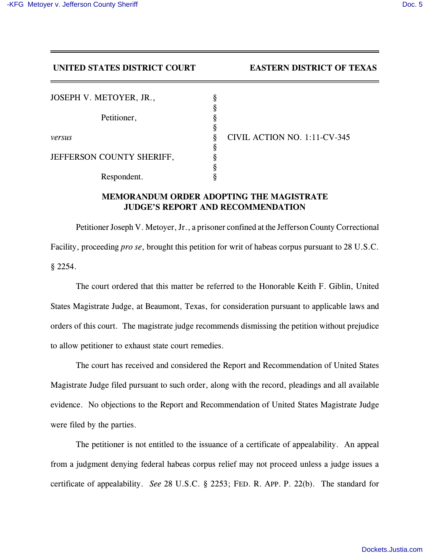**UNITED STATES DISTRICT COURT EASTERN DISTRICT OF TEXAS**

| JOSEPH V. METOYER, JR.,   |   |                              |
|---------------------------|---|------------------------------|
|                           |   |                              |
| Petitioner,               |   |                              |
|                           |   |                              |
| versus                    | 8 | CIVIL ACTION NO. 1:11-CV-345 |
|                           |   |                              |
| JEFFERSON COUNTY SHERIFF, |   |                              |
|                           |   |                              |
| Respondent.               |   |                              |

## **MEMORANDUM ORDER ADOPTING THE MAGISTRATE JUDGE'S REPORT AND RECOMMENDATION**

Petitioner Joseph V. Metoyer, Jr., a prisoner confined at the Jefferson County Correctional Facility, proceeding *pro se*, brought this petition for writ of habeas corpus pursuant to 28 U.S.C. § 2254.

The court ordered that this matter be referred to the Honorable Keith F. Giblin, United States Magistrate Judge, at Beaumont, Texas, for consideration pursuant to applicable laws and orders of this court. The magistrate judge recommends dismissing the petition without prejudice to allow petitioner to exhaust state court remedies.

The court has received and considered the Report and Recommendation of United States Magistrate Judge filed pursuant to such order, along with the record, pleadings and all available evidence. No objections to the Report and Recommendation of United States Magistrate Judge were filed by the parties.

The petitioner is not entitled to the issuance of a certificate of appealability. An appeal from a judgment denying federal habeas corpus relief may not proceed unless a judge issues a certificate of appealability. *See* 28 U.S.C. § 2253; FED. R. APP. P. 22(b). The standard for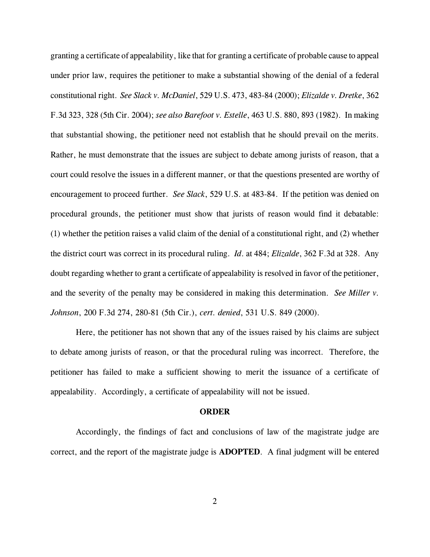granting a certificate of appealability, like that for granting a certificate of probable cause to appeal under prior law, requires the petitioner to make a substantial showing of the denial of a federal constitutional right. *See Slack v. McDaniel*, 529 U.S. 473, 483-84 (2000); *Elizalde v. Dretke*, 362 F.3d 323, 328 (5th Cir. 2004); *see also Barefoot v. Estelle*, 463 U.S. 880, 893 (1982). In making that substantial showing, the petitioner need not establish that he should prevail on the merits. Rather, he must demonstrate that the issues are subject to debate among jurists of reason, that a court could resolve the issues in a different manner, or that the questions presented are worthy of encouragement to proceed further. *See Slack*, 529 U.S. at 483-84. If the petition was denied on procedural grounds, the petitioner must show that jurists of reason would find it debatable: (1) whether the petition raises a valid claim of the denial of a constitutional right, and (2) whether the district court was correct in its procedural ruling. *Id*. at 484; *Elizalde*, 362 F.3d at 328. Any doubt regarding whether to grant a certificate of appealability is resolved in favor of the petitioner, and the severity of the penalty may be considered in making this determination. *See Miller v. Johnson*, 200 F.3d 274, 280-81 (5th Cir.), *cert. denied*, 531 U.S. 849 (2000).

Here, the petitioner has not shown that any of the issues raised by his claims are subject to debate among jurists of reason, or that the procedural ruling was incorrect. Therefore, the petitioner has failed to make a sufficient showing to merit the issuance of a certificate of appealability. Accordingly, a certificate of appealability will not be issued.

## **ORDER**

Accordingly, the findings of fact and conclusions of law of the magistrate judge are correct, and the report of the magistrate judge is **ADOPTED**. A final judgment will be entered